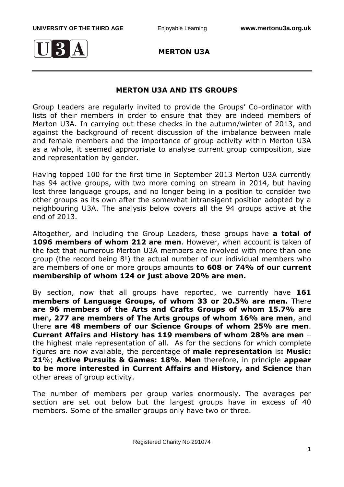

 **MERTON U3A**

## **MERTON U3A AND ITS GROUPS**

Group Leaders are regularly invited to provide the Groups' Co-ordinator with lists of their members in order to ensure that they are indeed members of Merton U3A. In carrying out these checks in the autumn/winter of 2013, and against the background of recent discussion of the imbalance between male and female members and the importance of group activity within Merton U3A as a whole, it seemed appropriate to analyse current group composition, size and representation by gender.

Having topped 100 for the first time in September 2013 Merton U3A currently has 94 active groups, with two more coming on stream in 2014, but having lost three language groups, and no longer being in a position to consider two other groups as its own after the somewhat intransigent position adopted by a neighbouring U3A. The analysis below covers all the 94 groups active at the end of 2013.

Altogether, and including the Group Leaders, these groups have **a total of 1096 members of whom 212 are men**. However, when account is taken of the fact that numerous Merton U3A members are involved with more than one group (the record being 8!) the actual number of our individual members who are members of one or more groups amounts **to 608 or 74% of our current membership of whom 124 or just above 20% are men.**

By section, now that all groups have reported, we currently have **161 members of Language Groups, of whom 33 or 20.5% are men.** There **are 96 members of the Arts and Crafts Groups of whom 15.7% are me**n**, 277 are members of The Arts groups of whom 16% are men**, and there **are 48 members of our Science Groups of whom 25% are men**. **Current Affairs and History has 119 members of whom 28% are men** – the highest male representation of all. As for the sections for which complete figures are now available, the percentage of **male representation** is**: Music: 21**%; **Active Pursuits & Games: 18%**. **Men** therefore, in principle **appear to be more interested in Current Affairs and History, and Science** than other areas of group activity.

The number of members per group varies enormously. The averages per section are set out below but the largest groups have in excess of 40 members. Some of the smaller groups only have two or three.